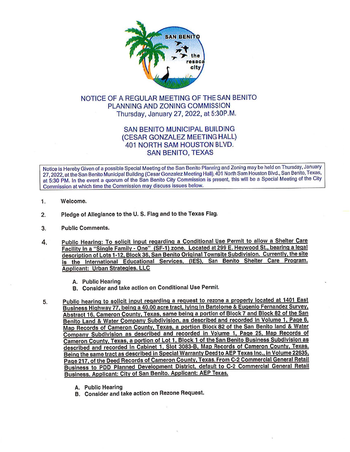

## NOTICE OF A REGULAR MEETING OF THE SAN BENITO PLANNING AND ZONING COMMISSION Thursday, January 27, 2022, at 5:30P.M.

## SAN BENITO MUNICIPAL BUILDING (CESAR GONZALEZ MEETING HALL) 401 NORTH SAM HOUSTON BLVD. SAN BENITO, TEXAS

Notice is Hereby Given of a possible Special Meeting of the San Benito Planning and Zoning may be held on Thursday, January 27, 2022, at the San Benito Municipal Building (Cesar Gonzalez Meeting Hall), 401 North Sam Houston Blvd., San Benito, Texas, at 5:30 PM. In the event a quorum of the San Benito City Commission is present, this will be a Special Meeting of the City Commission at which time the Commission may discuss issues below.

- 1. Welcome.
- 2. Pledge of Allegiance to the U. S. Flag and to the Texas Flag.
- 3. Public Comments.
- 4. Public Hearing: To solicit input regarding a Conditional Use Permit to allow a Shelter Care Facility in a "Single Family - One" (SF-1) zone. Located at 299 E. Heywood St., bearing a legal description of Lots 1-12, Block 36, San Benito Original Townsite Subdivision. Currently, the site is the International Educational Services, (IES), San Benito Shelter Care Program. Applicant: Urban Strategies. LLC
	- A. Public Hearing
	- B. Consider and take action on Conditional Use Permit
- 5. Public hearing to solicit input regarding a request to rezone a property located at 1401 East Business Highway 77, being a 40.00 acre tract, lying in Bartolome & Eugenio Fernandez Survey, Abstract 16, Cameron County, Texas, same being a portion of Block 7 and Block 82 of the San Benito Land & Water Company Subdivision, as described and recorded in Volume 1, Page 6, Map Records of Cameron County, Texas, a portion Block 82 of the San Benito land & Water Company Subdivision as described and recorded in Volume 1, Page 25, Map Records of Cameron County, Texas, a portion of Lot 1, Block 1 of the San Benito Business Subdivision as described and recorded in Cabinet 1, Slot 3083-B, Map Records of Cameron County, Texas. Being the same tract as described in Special Warranty Deed to AEP Texas Inc., In Volume 22635, Page 217, of the Deed Records of Cameron County, Texas. From C-2 Commercial General Retail Business to POD Planned Development District, default to C-2 Commercial General Retail Business. Applicant: City of San Benito. Applicant: AEP Texas.
	- A. Public Hearing
	- B. Consider and take action on Rezone Request.